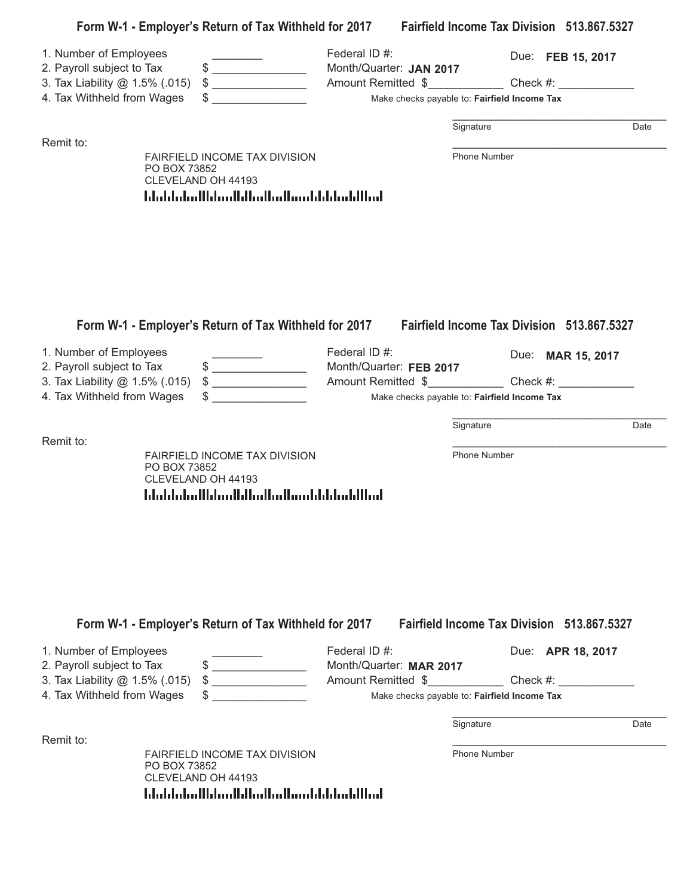|                                                                                                                     |                                                                                                             |                                          | Form W-1 - Employer's Return of Tax Withheld for 2017 Fairfield Income Tax Division 513.867.5327      |
|---------------------------------------------------------------------------------------------------------------------|-------------------------------------------------------------------------------------------------------------|------------------------------------------|-------------------------------------------------------------------------------------------------------|
| 1. Number of Employees<br>2. Payroll subject to Tax<br>3. Tax Liability @ 1.5% (.015)                               | $\qquad \qquad \$$<br>$\begin{array}{c} \updownarrow \\ \downarrow \end{array}$                             | Federal ID #:<br>Month/Quarter: JAN 2017 | Due: FEB 15, 2017<br>Amount Remitted \$ Check #:                                                      |
| 4. Tax Withheld from Wages                                                                                          |                                                                                                             |                                          | Make checks payable to: Fairfield Income Tax                                                          |
| Remit to:                                                                                                           |                                                                                                             |                                          | Signature<br>Date                                                                                     |
| PO BOX 73852                                                                                                        | FAIRFIELD INCOME TAX DIVISION<br>CLEVELAND OH 44193<br>اسلاليا سليليا باستناسا استليا استايا اسلوا بابياتا  |                                          | Phone Number                                                                                          |
| 1. Number of Employees<br>2. Payroll subject to Tax<br>3. Tax Liability @ 1.5% (.015)                               | Form W-1 - Employer's Return of Tax Withheld for 2017<br>$\qquad \qquad \$$<br>$\frac{1}{2}$                | Federal ID #:<br>Month/Quarter: FEB 2017 | <b>Fairfield Income Tax Division 513,867,5327</b><br>Due: MAR 15, 2017<br>Amount Remitted \$ Check #: |
| 4. Tax Withheld from Wages                                                                                          |                                                                                                             |                                          | Make checks payable to: Fairfield Income Tax                                                          |
| Remit to:                                                                                                           |                                                                                                             |                                          | Signature<br>Date                                                                                     |
| PO BOX 73852                                                                                                        | FAIRFIELD INCOME TAX DIVISION<br>CLEVELAND OH 44193<br>المالليلميانا بالمسالسا الماليان بالسلوا المناوالينا |                                          | Phone Number                                                                                          |
|                                                                                                                     | Form W-1 - Employer's Return of Tax Withheld for 2017                                                       |                                          | Fairfield Income Tax Division 513.867.5327                                                            |
| 1. Number of Employees<br>2. Payroll subject to Tax<br>3. Tax Liability @ 1.5% (.015)<br>4. Tax Withheld from Wages | \$<br>$\begin{array}{c} \updownarrow \\ \downarrow \end{array}$                                             | Federal ID #:<br>Month/Quarter: MAR 2017 | Due: APR 18, 2017<br>Amount Remitted \$ Check #:<br>Make checks payable to: Fairfield Income Tax      |
|                                                                                                                     |                                                                                                             |                                          | Signature<br>Date                                                                                     |
| Remit to:                                                                                                           |                                                                                                             |                                          |                                                                                                       |
| PO BOX 73852                                                                                                        | FAIRFIELD INCOME TAX DIVISION                                                                               |                                          | Phone Number                                                                                          |

PO BOX 73852 CLEVELAND OH 44193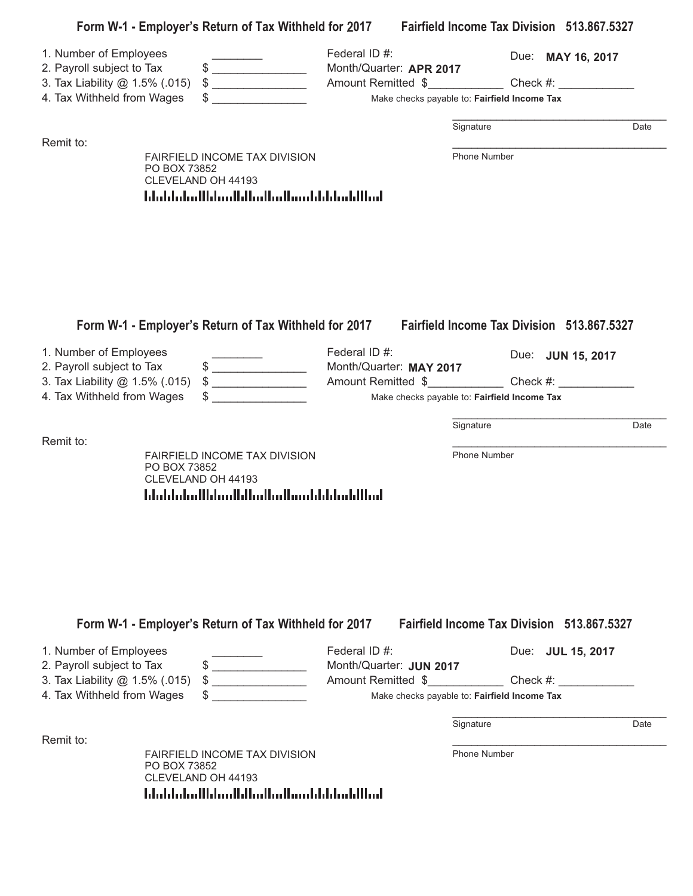|                                |                                                                                      |                         | Form W-1 - Employer's Return of Tax Withheld for 2017 Fairfield Income Tax Division 513.867.5327 |      |
|--------------------------------|--------------------------------------------------------------------------------------|-------------------------|--------------------------------------------------------------------------------------------------|------|
| 1. Number of Employees         |                                                                                      | Federal ID #:           | Due: MAY 16, 2017                                                                                |      |
| 2. Payroll subject to Tax      | $\qquad \qquad \, \texttt{\$} \textcolor{red}{\overbrace{ \texttt{\_}} \texttt{\_}}$ | Month/Quarter: APR 2017 |                                                                                                  |      |
| 3. Tax Liability @ 1.5% (.015) | $\begin{array}{c} \updownarrow \\ \downarrow \end{array}$                            |                         |                                                                                                  |      |
| 4. Tax Withheld from Wages     |                                                                                      |                         | Make checks payable to: Fairfield Income Tax                                                     |      |
|                                |                                                                                      |                         | Signature                                                                                        | Date |
| Remit to:                      | <b>FAIRFIELD INCOME TAX DIVISION</b>                                                 |                         | <b>Phone Number</b>                                                                              |      |
|                                | PO BOX 73852                                                                         |                         |                                                                                                  |      |
|                                | CLEVELAND OH 44193                                                                   |                         |                                                                                                  |      |
|                                | المطالبا بمليانا بالمستلمط المتابا المساوا المتابطان المليا                          |                         |                                                                                                  |      |
|                                |                                                                                      |                         |                                                                                                  |      |
|                                |                                                                                      |                         |                                                                                                  |      |
|                                |                                                                                      |                         |                                                                                                  |      |
|                                |                                                                                      |                         |                                                                                                  |      |
|                                | Form W-1 - Employer's Return of Tax Withheld for 2017                                |                         | <b>Fairfield Income Tax Division 513.867.5327</b>                                                |      |
| 1. Number of Employees         |                                                                                      | Federal ID #:           | Due: JUN 15, 2017                                                                                |      |
| 2. Payroll subject to Tax      | $\qquad \qquad \bullet$                                                              | Month/Quarter: MAY 2017 |                                                                                                  |      |
| 3. Tax Liability @ 1.5% (.015) | $\frac{1}{2}$                                                                        |                         |                                                                                                  |      |
| 4. Tax Withheld from Wages     |                                                                                      |                         | Make checks payable to: Fairfield Income Tax                                                     |      |
| Remit to:                      |                                                                                      |                         | Signature                                                                                        | Date |
|                                | FAIRFIELD INCOME TAX DIVISION                                                        |                         | Phone Number                                                                                     |      |
|                                | PO BOX 73852<br>CLEVELAND OH 44193                                                   |                         |                                                                                                  |      |
|                                | المالليا بمايا بالمستالس الماليا استلمانا المامانا                                   |                         |                                                                                                  |      |
|                                |                                                                                      |                         |                                                                                                  |      |
|                                |                                                                                      |                         |                                                                                                  |      |
|                                |                                                                                      |                         |                                                                                                  |      |
|                                |                                                                                      |                         |                                                                                                  |      |
|                                |                                                                                      |                         |                                                                                                  |      |
|                                |                                                                                      |                         |                                                                                                  |      |
|                                | Form W-1 - Employer's Return of Tax Withheld for 2017                                |                         | <b>Fairfield Income Tax Division 513,867,5327</b>                                                |      |
|                                |                                                                                      |                         |                                                                                                  |      |
| 1. Number of Employees         |                                                                                      | Federal ID #:           | Due: JUL 15, 2017                                                                                |      |
| 2. Payroll subject to Tax      | $\frac{1}{2}$                                                                        | Month/Quarter: JUN 2017 |                                                                                                  |      |
| 3. Tax Liability @ 1.5% (.015) |                                                                                      |                         | Amount Remitted \$ Check #:                                                                      |      |
| 4. Tax Withheld from Wages     |                                                                                      |                         | Make checks payable to: Fairfield Income Tax                                                     |      |
|                                |                                                                                      |                         | Signature                                                                                        | Date |
| Remit to:                      |                                                                                      |                         |                                                                                                  |      |
|                                | FAIRFIELD INCOME TAX DIVISION<br>PO BOX 73852                                        |                         | Phone Number                                                                                     |      |

CLEVELAND OH 44193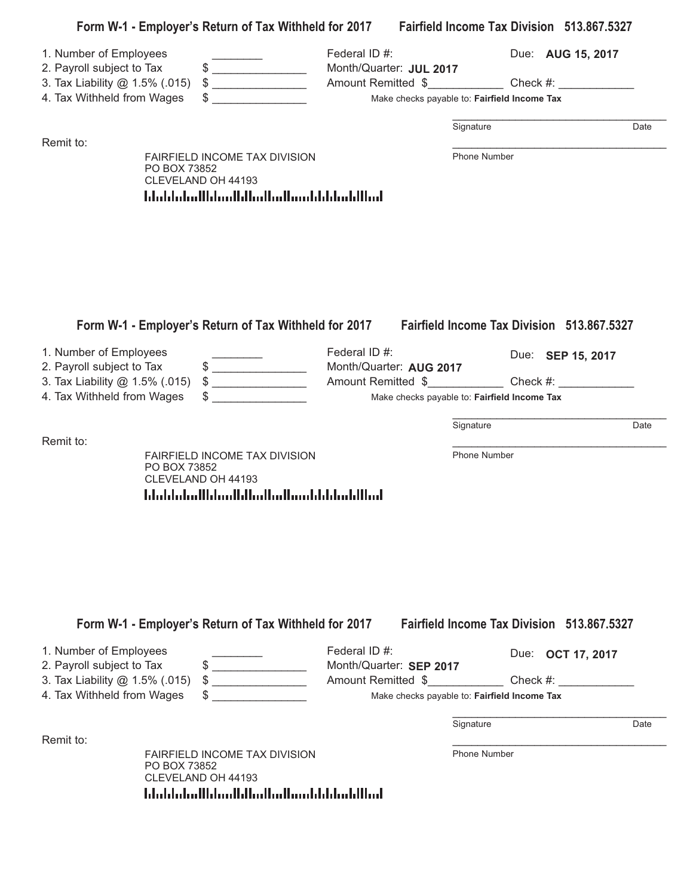|                                                                                                                     | Form W-1 - Employer's Return of Tax Withheld for 2017 Fairfield Income Tax Division 513.867.5327                                                                                                                                                                                                                                                                    |                                                                                                                         |                     |                                                                        |      |
|---------------------------------------------------------------------------------------------------------------------|---------------------------------------------------------------------------------------------------------------------------------------------------------------------------------------------------------------------------------------------------------------------------------------------------------------------------------------------------------------------|-------------------------------------------------------------------------------------------------------------------------|---------------------|------------------------------------------------------------------------|------|
| 1. Number of Employees<br>2. Payroll subject to Tax<br>3. Tax Liability @ 1.5% (.015)<br>4. Tax Withheld from Wages | $\qquad \qquad \, \texttt{\$} \textcolor{red}{\overbrace{ \texttt{\_}} \texttt{\_}}$<br>$\begin{array}{c} \updownarrow \\ \downarrow \end{array}$                                                                                                                                                                                                                   | Federal ID #:<br>Month/Quarter: JUL 2017<br>Amount Remitted \$ Check #:<br>Make checks payable to: Fairfield Income Tax | Signature           | Due: AUG 15, 2017                                                      | Date |
| Remit to:                                                                                                           |                                                                                                                                                                                                                                                                                                                                                                     |                                                                                                                         |                     |                                                                        |      |
| PO BOX 73852                                                                                                        | FAIRFIELD INCOME TAX DIVISION<br>CLEVELAND OH 44193<br>المالليلميانا بالمسالسا الماليان بالاساء المامليا                                                                                                                                                                                                                                                            |                                                                                                                         | <b>Phone Number</b> |                                                                        |      |
| 1. Number of Employees                                                                                              | Form W-1 - Employer's Return of Tax Withheld for 2017                                                                                                                                                                                                                                                                                                               | Federal ID #:                                                                                                           |                     | <b>Fairfield Income Tax Division 513,867,5327</b><br>Due: SEP 15, 2017 |      |
| 2. Payroll subject to Tax<br>3. Tax Liability @ 1.5% (.015)                                                         | $\qquad \qquad \, \texttt{\$} \textcolor{red}{\overbrace{ \texttt{\_}} \texttt{\_}}$<br>$\frac{1}{2}$                                                                                                                                                                                                                                                               | Month/Quarter: AUG 2017                                                                                                 |                     |                                                                        |      |
| 4. Tax Withheld from Wages                                                                                          |                                                                                                                                                                                                                                                                                                                                                                     | Make checks payable to: Fairfield Income Tax                                                                            |                     |                                                                        |      |
|                                                                                                                     |                                                                                                                                                                                                                                                                                                                                                                     |                                                                                                                         |                     |                                                                        |      |
| Remit to:                                                                                                           |                                                                                                                                                                                                                                                                                                                                                                     |                                                                                                                         | Signature           |                                                                        | Date |
| PO BOX 73852                                                                                                        | FAIRFIELD INCOME TAX DIVISION<br>CLEVELAND OH 44193<br>المالليان بالبارات بمالم الماليان بالماتان بابتانا المائيليا                                                                                                                                                                                                                                                 |                                                                                                                         | Phone Number        |                                                                        |      |
|                                                                                                                     | Form W-1 - Employer's Return of Tax Withheld for 2017                                                                                                                                                                                                                                                                                                               |                                                                                                                         |                     | <b>Fairfield Income Tax Division 513,867,5327</b>                      |      |
| 1. Number of Employees<br>2. Payroll subject to Tax                                                                 | $\frac{1}{2}$                                                                                                                                                                                                                                                                                                                                                       | Federal ID #:<br>Month/Quarter: SEP 2017                                                                                |                     | Due: <b>OCT 17, 2017</b>                                               |      |
| 3. Tax Liability @ 1.5% (.015)                                                                                      | $\begin{picture}(20,10) \put(0,0){\vector(1,0){100}} \put(15,0){\vector(1,0){100}} \put(15,0){\vector(1,0){100}} \put(15,0){\vector(1,0){100}} \put(15,0){\vector(1,0){100}} \put(15,0){\vector(1,0){100}} \put(15,0){\vector(1,0){100}} \put(15,0){\vector(1,0){100}} \put(15,0){\vector(1,0){100}} \put(15,0){\vector(1,0){100}} \put(15,0){\vector(1,0){100}} \$ | Amount Remitted \$ Check #:                                                                                             |                     |                                                                        |      |
| 4. Tax Withheld from Wages                                                                                          |                                                                                                                                                                                                                                                                                                                                                                     | Make checks payable to: Fairfield Income Tax                                                                            |                     |                                                                        |      |
|                                                                                                                     |                                                                                                                                                                                                                                                                                                                                                                     |                                                                                                                         | Signature           |                                                                        | Date |
| Remit to:                                                                                                           |                                                                                                                                                                                                                                                                                                                                                                     |                                                                                                                         |                     |                                                                        |      |
| PO BOX 73852                                                                                                        | FAIRFIELD INCOME TAX DIVISION<br>CLEVELAND OH 44193<br>المالليلميانا بالمستالميالماليالمماياالمباملياتيا                                                                                                                                                                                                                                                            |                                                                                                                         | <b>Phone Number</b> |                                                                        |      |